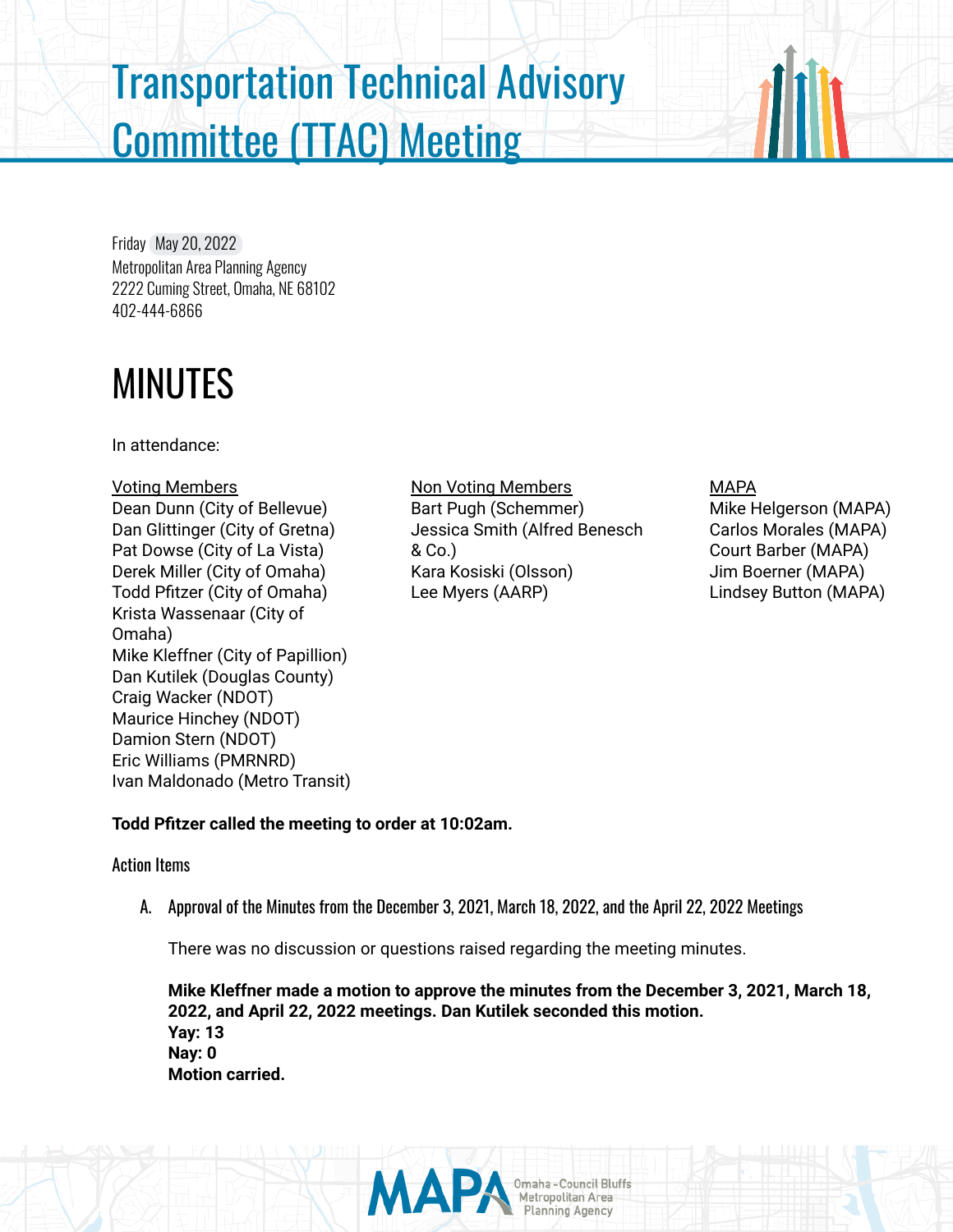# Transportation Technical Advisory Committee (TTAC) Meeting

Friday May 20, 2022 Metropolitan Area Planning Agency 2222 Cuming Street, Omaha, NE 68102 402-444-6866

# MINUTES

In attendance:

#### Voting Members Dean Dunn (City of Bellevue) Dan Glittinger (City of Gretna) Pat Dowse (City of La Vista) Derek Miller (City of Omaha) Todd Pfitzer (City of Omaha) Krista Wassenaar (City of Omaha) Mike Kleffner (City of Papillion) Dan Kutilek (Douglas County) Craig Wacker (NDOT) Maurice Hinchey (NDOT) Damion Stern (NDOT) Eric Williams (PMRNRD) Ivan Maldonado (Metro Transit)

Non Voting Members Bart Pugh (Schemmer) Jessica Smith (Alfred Benesch & Co.) Kara Kosiski (Olsson) Lee Myers (AARP)

## MAPA

Mike Helgerson (MAPA) Carlos Morales (MAPA) Court Barber (MAPA) Jim Boerner (MAPA) Lindsey Button (MAPA)

# **Todd Pfitzer called the meeting to order at 10:02am.**

### Action Items

A. Approval of the Minutes from the December 3, 2021, March 18, 2022, and the April 22, 2022 Meetings

There was no discussion or questions raised regarding the meeting minutes.

**Mike Kleffner made a motion to approve the minutes from the December 3, 2021, March 18, 2022, and April 22, 2022 meetings. Dan Kutilek seconded this motion. Yay: 13 Nay: 0 Motion carried.**

Omaha - Council Bluffs<br>Metropolitan Area<br>Planning Agency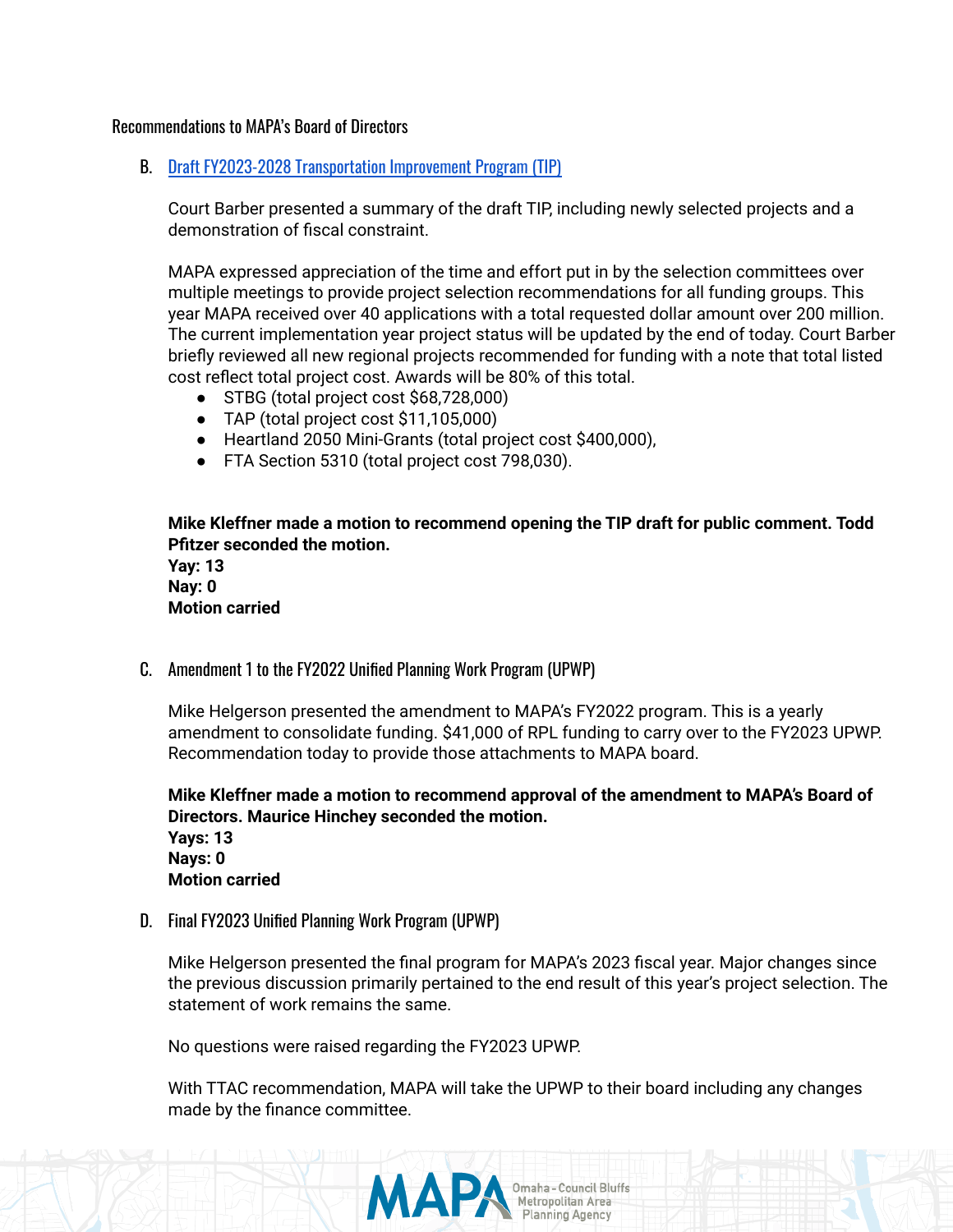#### Recommendations to MAPA's Board of Directors

B. Draft FY2023-2028 [Transportation](https://mapacog.knack.com/2023-transportation-improvement-program#draft-tip-summary/?view_632_0_filters=%5B%7B%22field%22%3A%22field_82%22%2C%22operator%22%3A%22is%20not%22%2C%22value%22%3A%222016%22%7D%5D) Improvement Program (TIP)

Court Barber presented a summary of the draft TIP, including newly selected projects and a demonstration of fiscal constraint.

MAPA expressed appreciation of the time and effort put in by the selection committees over multiple meetings to provide project selection recommendations for all funding groups. This year MAPA received over 40 applications with a total requested dollar amount over 200 million. The current implementation year project status will be updated by the end of today. Court Barber briefly reviewed all new regional projects recommended for funding with a note that total listed cost reflect total project cost. Awards will be 80% of this total.

- STBG (total project cost \$68,728,000)
- TAP (total project cost \$11,105,000)
- Heartland 2050 Mini-Grants (total project cost \$400,000),
- FTA Section 5310 (total project cost 798,030).

**Mike Kleffner made a motion to recommend opening the TIP draft for public comment. Todd Pfitzer seconded the motion.**

**Yay: 13 Nay: 0 Motion carried**

C. Amendment 1 to the FY2022 Unified Planning Work Program (UPWP)

Mike Helgerson presented the amendment to MAPA's FY2022 program. This is a yearly amendment to consolidate funding. \$41,000 of RPL funding to carry over to the FY2023 UPWP. Recommendation today to provide those attachments to MAPA board.

**Mike Kleffner made a motion to recommend approval of the amendment to MAPA's Board of Directors. Maurice Hinchey seconded the motion. Yays: 13 Nays: 0 Motion carried**

D. Final FY2023 Unified Planning Work Program (UPWP)

Mike Helgerson presented the final program for MAPA's 2023 fiscal year. Major changes since the previous discussion primarily pertained to the end result of this year's project selection. The statement of work remains the same.

No questions were raised regarding the FY2023 UPWP.

With TTAC recommendation, MAPA will take the UPWP to their board including any changes made by the finance committee.

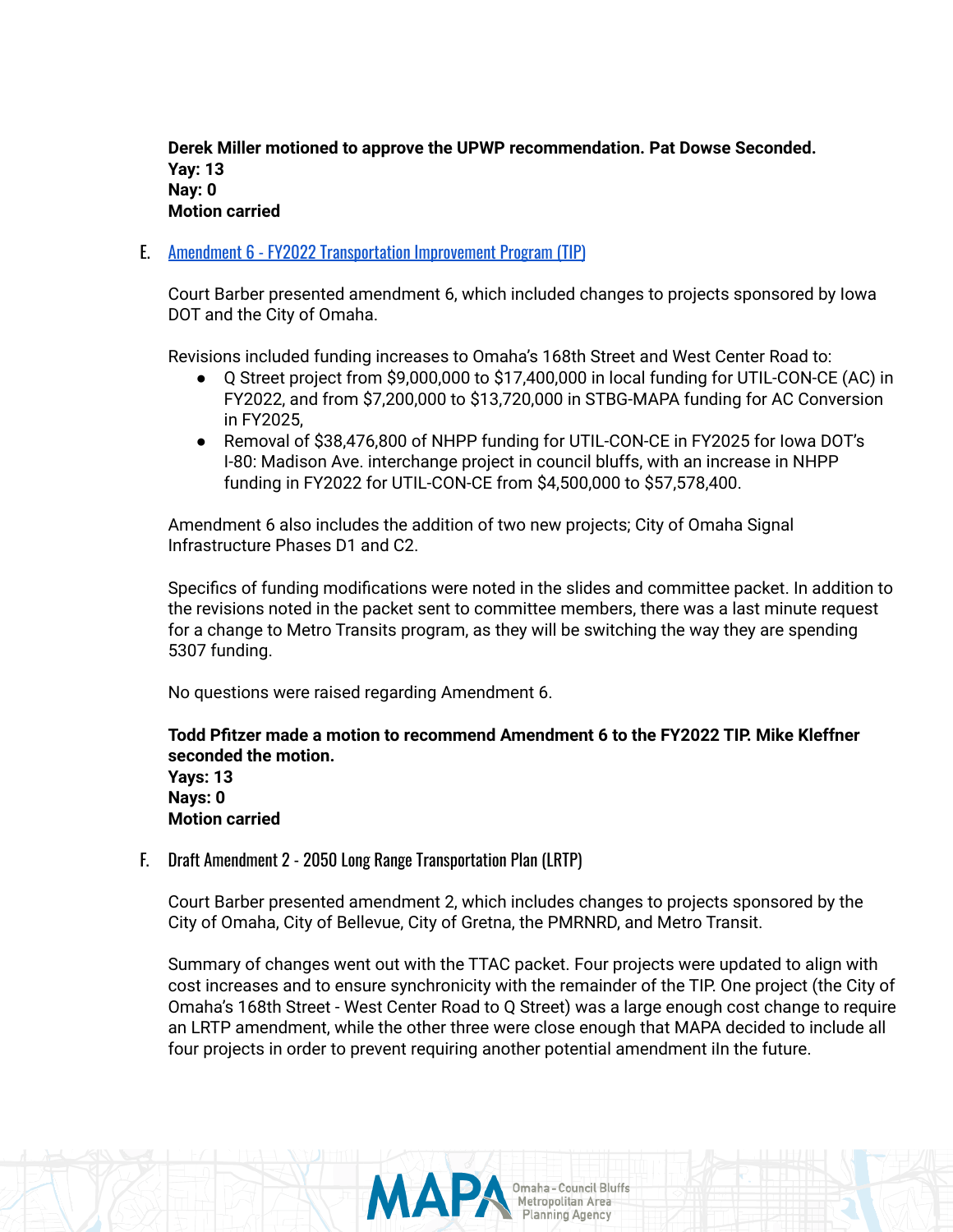**Derek Miller motioned to approve the UPWP recommendation. Pat Dowse Seconded. Yay: 13 Nay: 0 Motion carried**

E. Amendment 6 - FY2022 [Transportation](https://mapacog.knack.com/2022-transportation-improvement-program#amendandmods/amendmod-details/62697cc819789f001e74646c/) Improvement Program (TIP)

Court Barber presented amendment 6, which included changes to projects sponsored by Iowa DOT and the City of Omaha.

Revisions included funding increases to Omaha's 168th Street and West Center Road to:

- Q Street project from \$9,000,000 to \$17,400,000 in local funding for UTIL-CON-CE (AC) in FY2022, and from \$7,200,000 to \$13,720,000 in STBG-MAPA funding for AC Conversion in FY2025,
- Removal of \$38,476,800 of NHPP funding for UTIL-CON-CE in FY2025 for lowa DOT's I-80: Madison Ave. interchange project in council bluffs, with an increase in NHPP funding in FY2022 for UTIL-CON-CE from \$4,500,000 to \$57,578,400.

Amendment 6 also includes the addition of two new projects; City of Omaha Signal Infrastructure Phases D1 and C2.

Specifics of funding modifications were noted in the slides and committee packet. In addition to the revisions noted in the packet sent to committee members, there was a last minute request for a change to Metro Transits program, as they will be switching the way they are spending 5307 funding.

No questions were raised regarding Amendment 6.

**Todd Pfitzer made a motion to recommend Amendment 6 to the FY2022 TIP. Mike Kleffner seconded the motion.**

**Yays: 13 Nays: 0 Motion carried**

F. Draft Amendment 2 - 2050 Long Range Transportation Plan (LRTP)

Court Barber presented amendment 2, which includes changes to projects sponsored by the City of Omaha, City of Bellevue, City of Gretna, the PMRNRD, and Metro Transit.

Summary of changes went out with the TTAC packet. Four projects were updated to align with cost increases and to ensure synchronicity with the remainder of the TIP. One project (the City of Omaha's 168th Street - West Center Road to Q Street) was a large enough cost change to require an LRTP amendment, while the other three were close enough that MAPA decided to include all four projects in order to prevent requiring another potential amendment iIn the future.

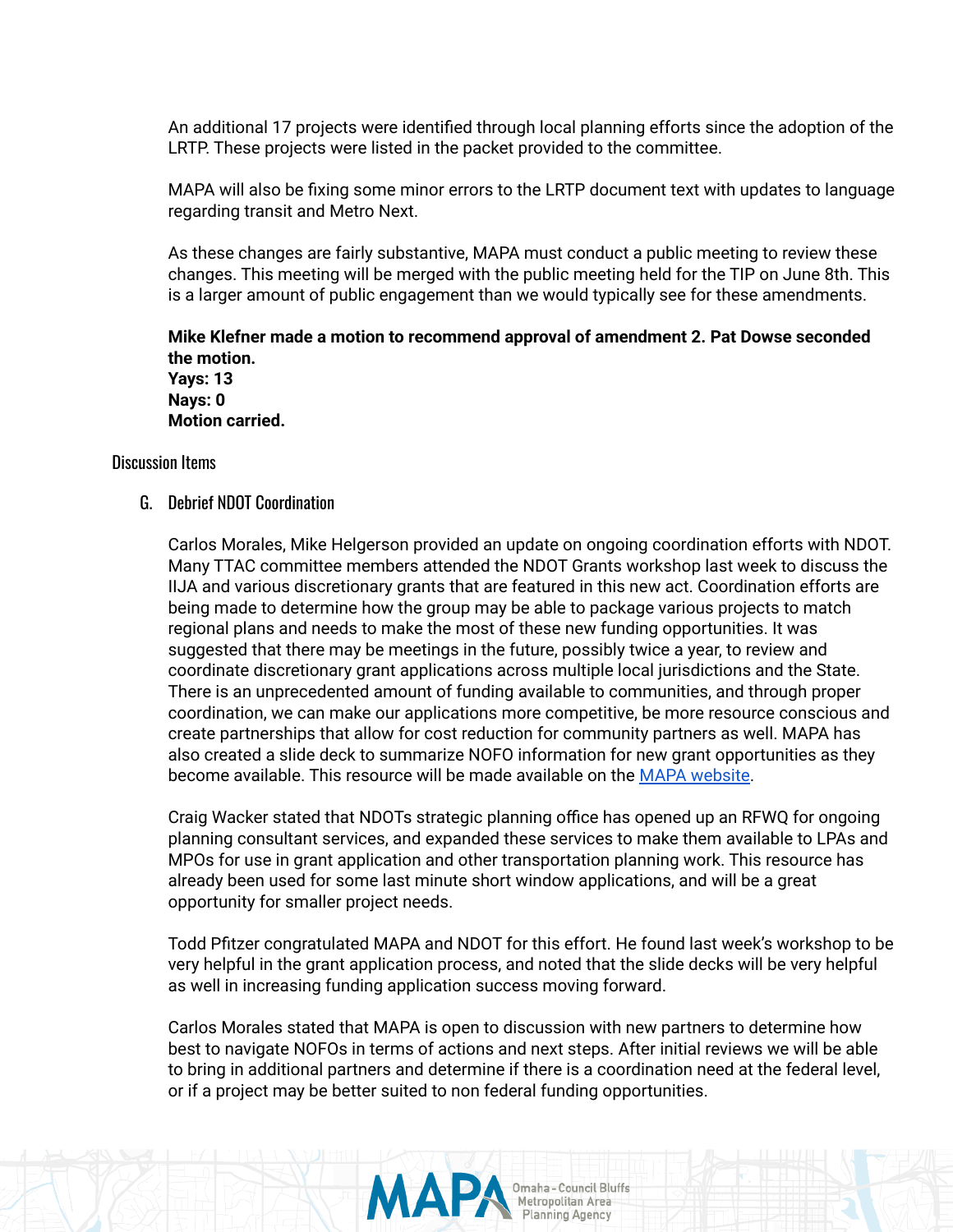An additional 17 projects were identified through local planning efforts since the adoption of the LRTP. These projects were listed in the packet provided to the committee.

MAPA will also be fixing some minor errors to the LRTP document text with updates to language regarding transit and Metro Next.

As these changes are fairly substantive, MAPA must conduct a public meeting to review these changes. This meeting will be merged with the public meeting held for the TIP on June 8th. This is a larger amount of public engagement than we would typically see for these amendments.

**Mike Klefner made a motion to recommend approval of amendment 2. Pat Dowse seconded the motion. Yays: 13 Nays: 0 Motion carried.**

Discussion Items

G. Debrief NDOT Coordination

Carlos Morales, Mike Helgerson provided an update on ongoing coordination efforts with NDOT. Many TTAC committee members attended the NDOT Grants workshop last week to discuss the IIJA and various discretionary grants that are featured in this new act. Coordination efforts are being made to determine how the group may be able to package various projects to match regional plans and needs to make the most of these new funding opportunities. It was suggested that there may be meetings in the future, possibly twice a year, to review and coordinate discretionary grant applications across multiple local jurisdictions and the State. There is an unprecedented amount of funding available to communities, and through proper coordination, we can make our applications more competitive, be more resource conscious and create partnerships that allow for cost reduction for community partners as well. MAPA has also created a slide deck to summarize NOFO information for new grant opportunities as they become available. This resource will be made available on the MAPA [website.](https://mapacog.org/services/transportation/training/)

Craig Wacker stated that NDOTs strategic planning office has opened up an RFWQ for ongoing planning consultant services, and expanded these services to make them available to LPAs and MPOs for use in grant application and other transportation planning work. This resource has already been used for some last minute short window applications, and will be a great opportunity for smaller project needs.

Todd Pfitzer congratulated MAPA and NDOT for this effort. He found last week's workshop to be very helpful in the grant application process, and noted that the slide decks will be very helpful as well in increasing funding application success moving forward.

Carlos Morales stated that MAPA is open to discussion with new partners to determine how best to navigate NOFOs in terms of actions and next steps. After initial reviews we will be able to bring in additional partners and determine if there is a coordination need at the federal level, or if a project may be better suited to non federal funding opportunities.

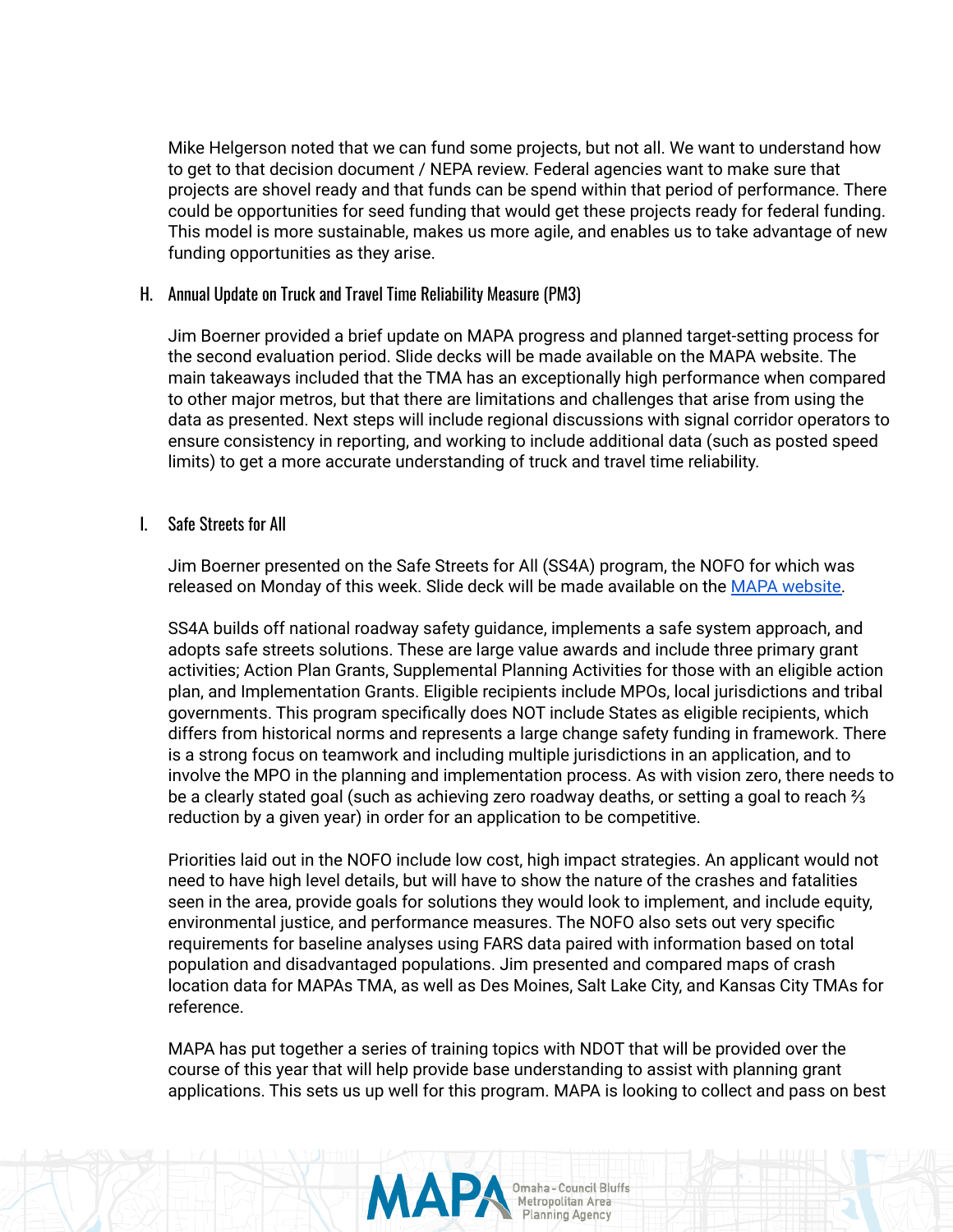Mike Helgerson noted that we can fund some projects, but not all. We want to understand how to get to that decision document / NEPA review. Federal agencies want to make sure that projects are shovel ready and that funds can be spend within that period of performance. There could be opportunities for seed funding that would get these projects ready for federal funding. This model is more sustainable, makes us more agile, and enables us to take advantage of new funding opportunities as they arise.

#### H. Annual Update on Truck and Travel Time Reliability Measure (PM3)

Jim Boerner provided a brief update on MAPA progress and planned target-setting process for the second evaluation period. Slide decks will be made available on the MAPA website. The main takeaways included that the TMA has an exceptionally high performance when compared to other major metros, but that there are limitations and challenges that arise from using the data as presented. Next steps will include regional discussions with signal corridor operators to ensure consistency in reporting, and working to include additional data (such as posted speed limits) to get a more accurate understanding of truck and travel time reliability.

#### I. Safe Streets for All

Jim Boerner presented on the Safe Streets for All (SS4A) program, the NOFO for which was released on Monday of this week. Slide deck will be made available on the MAPA [website.](https://mapacog.org/services/transportation/training/)

SS4A builds off national roadway safety guidance, implements a safe system approach, and adopts safe streets solutions. These are large value awards and include three primary grant activities; Action Plan Grants, Supplemental Planning Activities for those with an eligible action plan, and Implementation Grants. Eligible recipients include MPOs, local jurisdictions and tribal governments. This program specifically does NOT include States as eligible recipients, which differs from historical norms and represents a large change safety funding in framework. There is a strong focus on teamwork and including multiple jurisdictions in an application, and to involve the MPO in the planning and implementation process. As with vision zero, there needs to be a clearly stated goal (such as achieving zero roadway deaths, or setting a goal to reach <sup>γ</sup><sub>3</sub> reduction by a given year) in order for an application to be competitive.

Priorities laid out in the NOFO include low cost, high impact strategies. An applicant would not need to have high level details, but will have to show the nature of the crashes and fatalities seen in the area, provide goals for solutions they would look to implement, and include equity, environmental justice, and performance measures. The NOFO also sets out very specific requirements for baseline analyses using FARS data paired with information based on total population and disadvantaged populations. Jim presented and compared maps of crash location data for MAPAs TMA, as well as Des Moines, Salt Lake City, and Kansas City TMAs for reference.

MAPA has put together a series of training topics with NDOT that will be provided over the course of this year that will help provide base understanding to assist with planning grant applications. This sets us up well for this program. MAPA is looking to collect and pass on best

MA

Omaha - Council Bluffs<br>Metropolitan Area

**Planning Agency**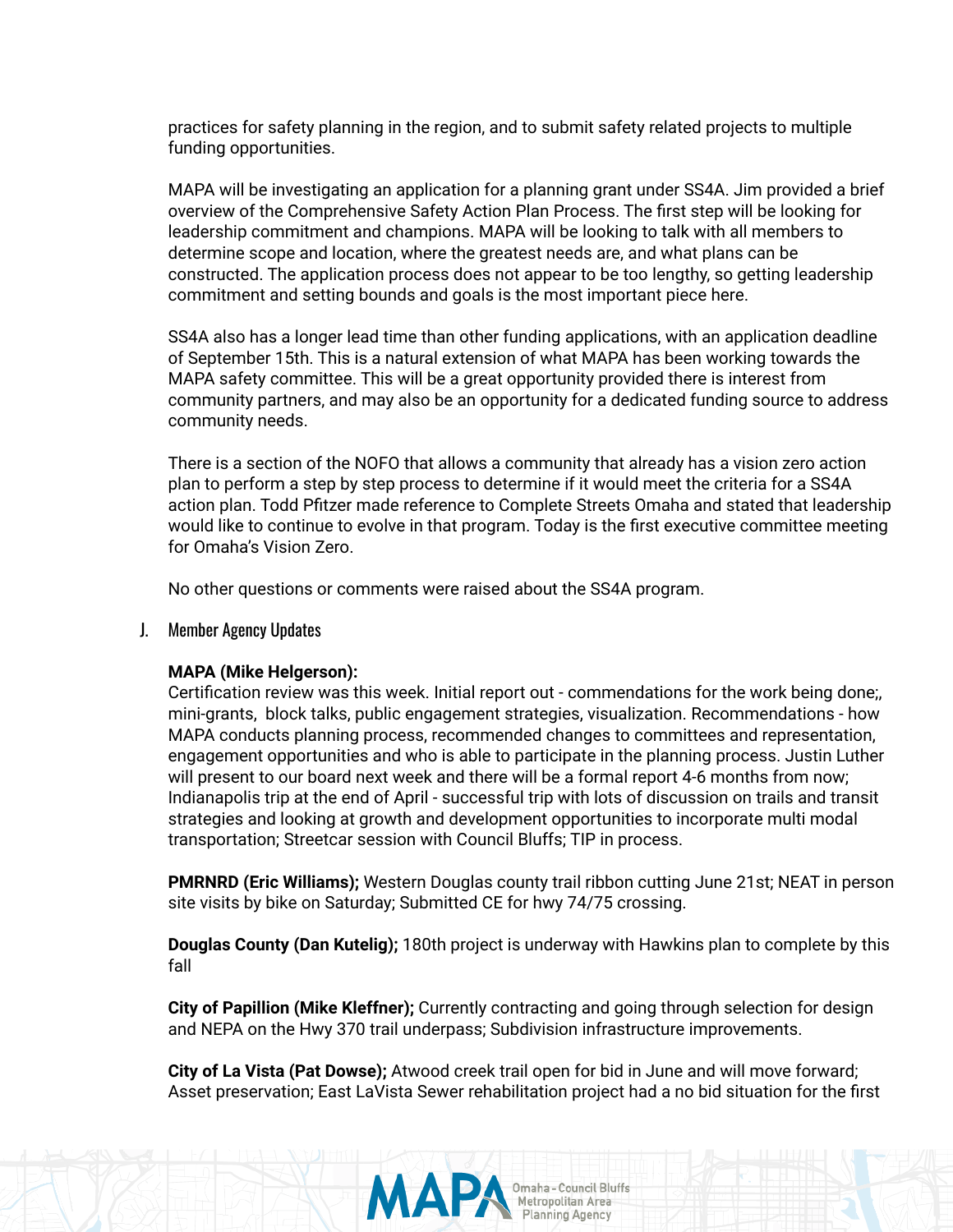practices for safety planning in the region, and to submit safety related projects to multiple funding opportunities.

MAPA will be investigating an application for a planning grant under SS4A. Jim provided a brief overview of the Comprehensive Safety Action Plan Process. The first step will be looking for leadership commitment and champions. MAPA will be looking to talk with all members to determine scope and location, where the greatest needs are, and what plans can be constructed. The application process does not appear to be too lengthy, so getting leadership commitment and setting bounds and goals is the most important piece here.

SS4A also has a longer lead time than other funding applications, with an application deadline of September 15th. This is a natural extension of what MAPA has been working towards the MAPA safety committee. This will be a great opportunity provided there is interest from community partners, and may also be an opportunity for a dedicated funding source to address community needs.

There is a section of the NOFO that allows a community that already has a vision zero action plan to perform a step by step process to determine if it would meet the criteria for a SS4A action plan. Todd Pfitzer made reference to Complete Streets Omaha and stated that leadership would like to continue to evolve in that program. Today is the first executive committee meeting for Omaha's Vision Zero.

No other questions or comments were raised about the SS4A program.

J. Member Agency Updates

#### **MAPA (Mike Helgerson):**

Certification review was this week. Initial report out - commendations for the work being done;, mini-grants, block talks, public engagement strategies, visualization. Recommendations - how MAPA conducts planning process, recommended changes to committees and representation, engagement opportunities and who is able to participate in the planning process. Justin Luther will present to our board next week and there will be a formal report 4-6 months from now; Indianapolis trip at the end of April - successful trip with lots of discussion on trails and transit strategies and looking at growth and development opportunities to incorporate multi modal transportation; Streetcar session with Council Bluffs; TIP in process.

**PMRNRD (Eric Williams);** Western Douglas county trail ribbon cutting June 21st; NEAT in person site visits by bike on Saturday; Submitted CE for hwy 74/75 crossing.

**Douglas County (Dan Kutelig);** 180th project is underway with Hawkins plan to complete by this fall

**City of Papillion (Mike Kleffner);** Currently contracting and going through selection for design and NEPA on the Hwy 370 trail underpass; Subdivision infrastructure improvements.

**City of La Vista (Pat Dowse);** Atwood creek trail open for bid in June and will move forward; Asset preservation; East LaVista Sewer rehabilitation project had a no bid situation for the first

MA

Omaha - Council Bluffs<br>Metropolitan Area

**Planning Agency**